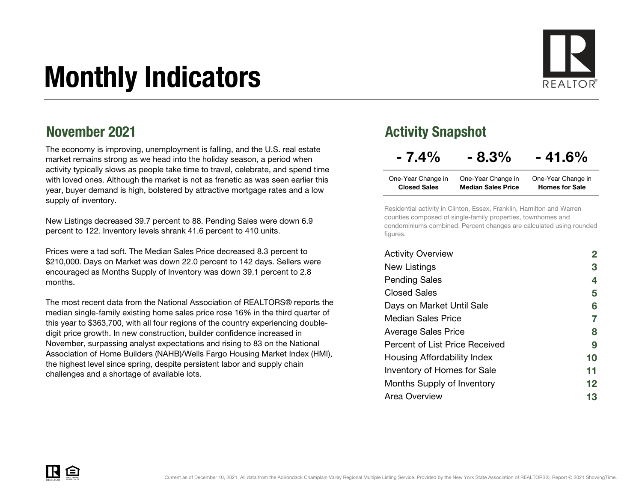# Monthly Indicators



## November 2021

The economy is improving, unemployment is falling, and the U.S. real estate market remains strong as we head into the holiday season, a period when activity typically slows as people take time to travel, celebrate, and spend time with loved ones. Although the market is not as frenetic as was seen earlier this year, buyer demand is high, bolstered by attractive mortgage rates and a low supply of inventory.

New Listings decreased 39.7 percent to 88. Pending Sales were down 6.9 percent to 122. Inventory levels shrank 41.6 percent to 410 units.

Prices were a tad soft. The Median Sales Price decreased 8.3 percent to \$210,000. Days on Market was down 22.0 percent to 142 days. Sellers were encouraged as Months Supply of Inventory was down 39.1 percent to 2.8 months.

The most recent data from the National Association of REALTORS® reports the median single-family existing home sales price rose 16% in the third quarter of this year to \$363,700, with all four regions of the country experiencing doubledigit price growth. In new construction, builder confidence increased in November, surpassing analyst expectations and rising to 83 on the National Association of Home Builders (NAHB)/Wells Fargo Housing Market Index (HMI), the highest level since spring, despite persistent labor and supply chain challenges and a shortage of available lots.

## Activity Snapshot

## $-7.4\% - 8.3\% - 41.6\%$

| One-Year Change in  | One-Year Change in        | One-Year Change in    |
|---------------------|---------------------------|-----------------------|
| <b>Closed Sales</b> | <b>Median Sales Price</b> | <b>Homes for Sale</b> |

Residential activity in Clinton, Essex, Franklin, Hamilton and Warren counties composed of single-family properties, townhomes and condominiums combined. Percent changes are calculated using rounded figures.

| <b>Activity Overview</b>       |    |
|--------------------------------|----|
| New Listings                   | 3  |
| <b>Pending Sales</b>           | 4  |
| <b>Closed Sales</b>            | 5  |
| Days on Market Until Sale      | 6  |
| Median Sales Price             | 7  |
| <b>Average Sales Price</b>     | 8  |
| Percent of List Price Received | 9  |
| Housing Affordability Index    | 10 |
| Inventory of Homes for Sale    | 11 |
| Months Supply of Inventory     | 12 |
| Area Overview                  | 13 |

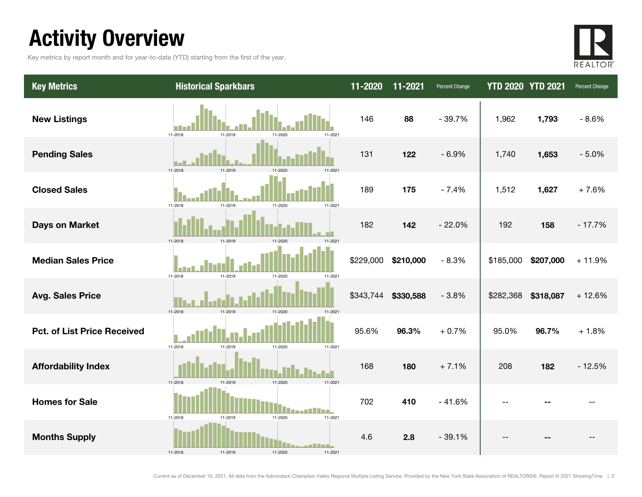## Activity Overview

Key metrics by report month and for year-to-date (YTD) starting from the first of the year.



| <b>Key Metrics</b>                 | <b>Historical Sparkbars</b>                            | 11-2020   | 11-2021   | Percent Change | <b>YTD 2020 YTD 2021</b> |           | Percent Change |
|------------------------------------|--------------------------------------------------------|-----------|-----------|----------------|--------------------------|-----------|----------------|
| <b>New Listings</b>                | 11-2018<br>11-2019<br>11-2021<br>11-2020               | 146       | 88        | $-39.7%$       | 1,962                    | 1,793     | $-8.6%$        |
| <b>Pending Sales</b>               | 11-2018<br>11-201                                      | 131       | 122       | $-6.9%$        | 1,740                    | 1,653     | $-5.0%$        |
| <b>Closed Sales</b>                | 11-2018<br>11-2019<br>11-2021<br>11-2020               | 189       | 175       | $-7.4%$        | 1,512                    | 1,627     | $+7.6%$        |
| <b>Days on Market</b>              | 11-2018<br>11-2019                                     | 182       | 142       | $-22.0%$       | 192                      | 158       | $-17.7%$       |
| <b>Median Sales Price</b>          | 11-2019<br>11-2018<br>11-2020<br>11-2021               | \$229,000 | \$210,000 | $-8.3%$        | \$185,000                | \$207,000 | $+11.9%$       |
| <b>Avg. Sales Price</b>            | 11-2018<br>11-2019<br>11-2020<br>11-2021               | \$343,744 | \$330,588 | $-3.8%$        | \$282,368                | \$318,087 | $+12.6%$       |
| <b>Pct. of List Price Received</b> | 11-2018<br>11-2019<br>11-2020<br>11-2021               | 95.6%     | 96.3%     | $+0.7%$        | 95.0%                    | 96.7%     | $+1.8%$        |
| <b>Affordability Index</b>         | 11-2019<br>11-2020<br>11-2021<br>11-2018               | 168       | 180       | $+7.1%$        | 208                      | 182       | $-12.5%$       |
| <b>Homes for Sale</b>              | 11-2021<br>11-2018<br>11-2019<br>11-2020               | 702       | 410       | $-41.6%$       |                          |           |                |
| <b>Months Supply</b>               | . III a si<br>11-2019<br>11-2018<br>11-2020<br>11-2021 | 4.6       | 2.8       | $-39.1%$       |                          |           |                |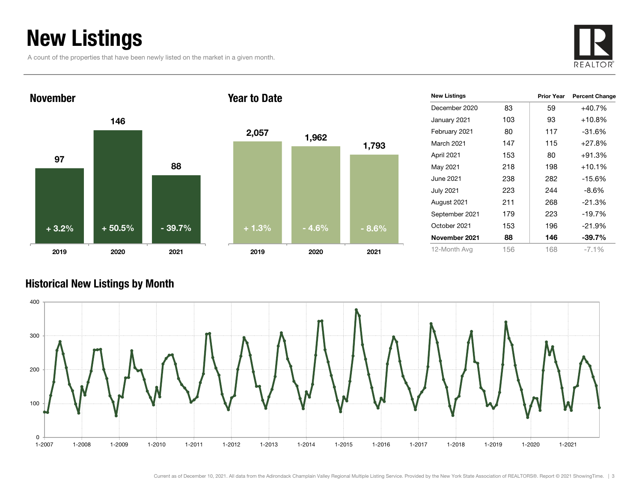## New Listings

A count of the properties that have been newly listed on the market in a given month.





| 2,057   | 1,962   | 1,793   |
|---------|---------|---------|
|         |         |         |
| $+1.3%$ |         |         |
|         | $-4.6%$ | $-8.6%$ |

| <b>New Listings</b> |     | <b>Prior Year</b> | <b>Percent Change</b> |
|---------------------|-----|-------------------|-----------------------|
| December 2020       | 83  | 59                | $+40.7%$              |
| January 2021        | 103 | 93                | $+10.8\%$             |
| February 2021       | 80  | 117               | $-31.6%$              |
| March 2021          | 147 | 115               | $+27.8%$              |
| April 2021          | 153 | 80                | $+91.3%$              |
| May 2021            | 218 | 198               | $+10.1%$              |
| June 2021           | 238 | 282               | $-15.6\%$             |
| <b>July 2021</b>    | 223 | 244               | -8.6%                 |
| August 2021         | 211 | 268               | $-21.3%$              |
| September 2021      | 179 | 223               | $-19.7%$              |
| October 2021        | 153 | 196               | $-21.9%$              |
| November 2021       | 88  | 146               | $-39.7\%$             |
| 12-Month Avg        | 156 | 168               | $-7.1\%$              |

### Historical New Listings by Month

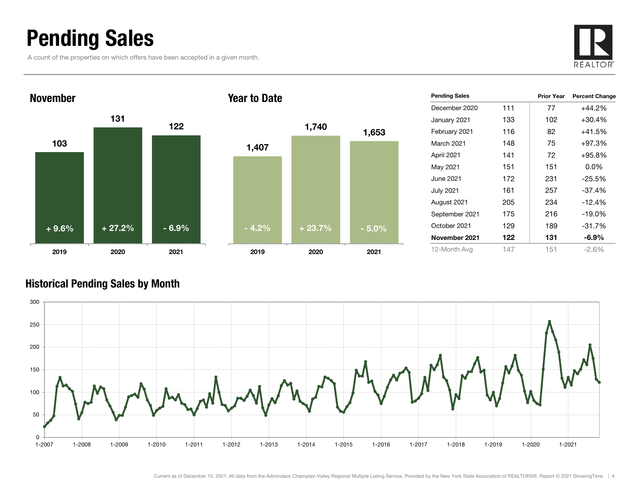## Pending Sales

A count of the properties on which offers have been accepted in a given month.





| <b>Pending Sales</b> |     | <b>Prior Year</b> | <b>Percent Change</b> |
|----------------------|-----|-------------------|-----------------------|
| December 2020        | 111 | 77                | $+44.2%$              |
| January 2021         | 133 | 102               | $+30.4%$              |
| February 2021        | 116 | 82                | +41.5%                |
| <b>March 2021</b>    | 148 | 75                | $+97.3%$              |
| April 2021           | 141 | 72                | $+95.8%$              |
| May 2021             | 151 | 151               | $0.0\%$               |
| June 2021            | 172 | 231               | $-25.5%$              |
| <b>July 2021</b>     | 161 | 257               | $-37.4%$              |
| August 2021          | 205 | 234               | $-12.4%$              |
| September 2021       | 175 | 216               | $-19.0%$              |
| October 2021         | 129 | 189               | $-31.7%$              |
| November 2021        | 122 | 131               | $-6.9\%$              |
| 12-Month Avg         | 147 | 151               | $-2.6%$               |

### Historical Pending Sales by Month

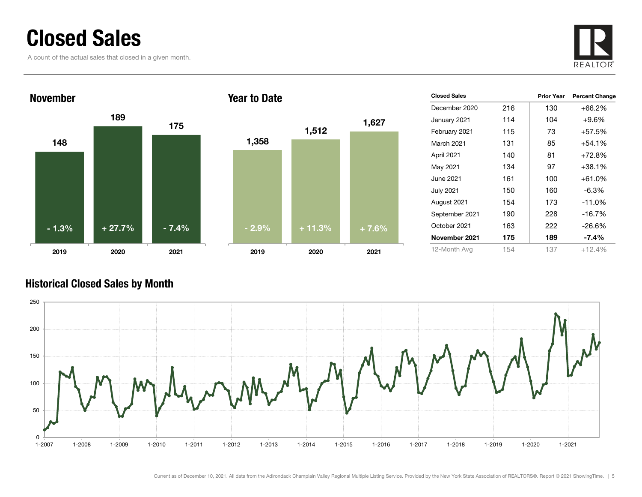## Closed Sales

A count of the actual sales that closed in a given month.





| <b>Closed Sales</b> |     | <b>Prior Year</b> | <b>Percent Change</b> |
|---------------------|-----|-------------------|-----------------------|
| December 2020       | 216 | 130               | $+66.2%$              |
| January 2021        | 114 | 104               | $+9.6\%$              |
| February 2021       | 115 | 73                | +57.5%                |
| March 2021          | 131 | 85                | $+54.1%$              |
| April 2021          | 140 | 81                | $+72.8%$              |
| May 2021            | 134 | 97                | +38.1%                |
| June 2021           | 161 | 100               | $+61.0%$              |
| <b>July 2021</b>    | 150 | 160               | -6.3%                 |
| August 2021         | 154 | 173               | $-11.0%$              |
| September 2021      | 190 | 228               | $-16.7%$              |
| October 2021        | 163 | 222               | -26.6%                |
| November 2021       | 175 | 189               | $-7.4%$               |
| 12-Month Avg        | 154 | 137               | $+12.4%$              |

### Historical Closed Sales by Month

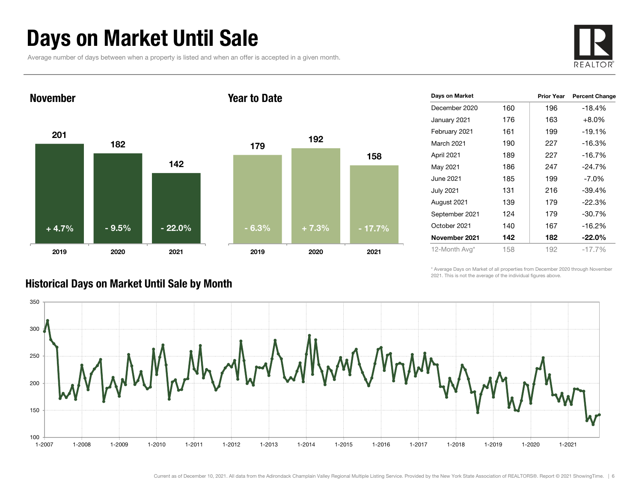## Days on Market Until Sale

Average number of days between when a property is listed and when an offer is accepted in a given month.





|     | <b>Prior Year</b> | <b>Percent Change</b> |
|-----|-------------------|-----------------------|
| 160 | 196               | $-18.4%$              |
| 176 | 163               | $+8.0%$               |
| 161 | 199               | $-19.1%$              |
| 190 | 227               | $-16.3%$              |
| 189 | 227               | $-16.7%$              |
| 186 | 247               | $-24.7\%$             |
| 185 | 199               | $-7.0\%$              |
| 131 | 216               | $-39.4%$              |
| 139 | 179               | $-22.3%$              |
| 124 | 179               | $-30.7%$              |
| 140 | 167               | $-16.2%$              |
| 142 | 182               | $-22.0\%$             |
| 158 | 192               | $-17.7\%$             |
|     |                   |                       |

\* Average Days on Market of all properties from December 2020 through November 2021. This is not the average of the individual figures above.



### Historical Days on Market Until Sale by Month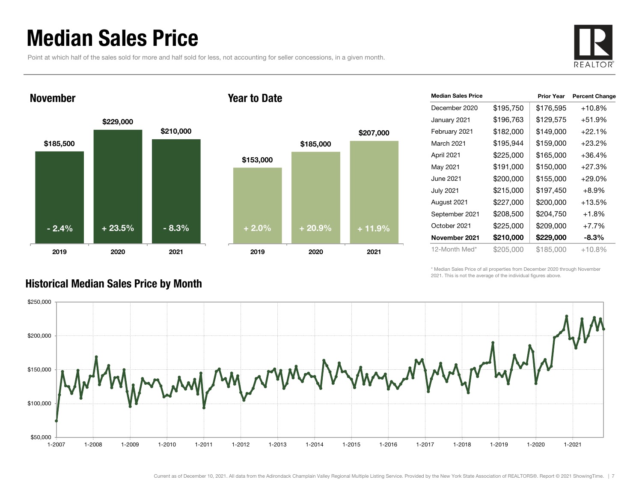## Median Sales Price

Point at which half of the sales sold for more and half sold for less, not accounting for seller concessions, in a given month.



### November

#### Year to Date



| <b>Median Sales Price</b> |           | <b>Prior Year</b> | <b>Percent Change</b> |
|---------------------------|-----------|-------------------|-----------------------|
| December 2020             | \$195,750 | \$176,595         | $+10.8%$              |
| January 2021              | \$196,763 | \$129,575         | $+51.9%$              |
| February 2021             | \$182,000 | \$149,000         | $+22.1%$              |
| March 2021                | \$195,944 | \$159,000         | $+23.2%$              |
| April 2021                | \$225,000 | \$165,000         | $+36.4%$              |
| May 2021                  | \$191,000 | \$150,000         | $+27.3%$              |
| June 2021                 | \$200,000 | \$155,000         | $+29.0%$              |
| <b>July 2021</b>          | \$215,000 | \$197,450         | $+8.9\%$              |
| August 2021               | \$227,000 | \$200,000         | $+13.5%$              |
| September 2021            | \$208,500 | \$204,750         | +1.8%                 |
| October 2021              | \$225,000 | \$209,000         | $+7.7%$               |
| November 2021             | \$210,000 | \$229,000         | -8.3%                 |
| 12-Month Med*             | \$205,000 | \$185,000         | +10.8%                |

\* Median Sales Price of all properties from December 2020 through November 2021. This is not the average of the individual figures above.



### Historical Median Sales Price by Month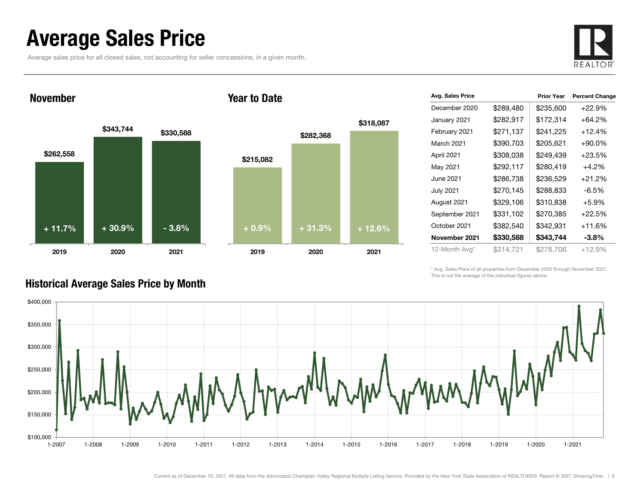## Average Sales Price

Average sales price for all closed sales, not accounting for seller concessions, in a given month.



November





| Avg. Sales Price |           | <b>Prior Year</b> | <b>Percent Change</b> |
|------------------|-----------|-------------------|-----------------------|
| December 2020    | \$289,480 | \$235,600         | $+22.9%$              |
| January 2021     | \$282,917 | \$172,314         | $+64.2\%$             |
| February 2021    | \$271,137 | \$241,225         | $+12.4%$              |
| March 2021       | \$390,703 | \$205,621         | $+90.0\%$             |
| April 2021       | \$308,038 | \$249,439         | $+23.5%$              |
| May 2021         | \$292,117 | \$280,419         | $+4.2%$               |
| June 2021        | \$286,738 | \$236,529         | $+21.2%$              |
| <b>July 2021</b> | \$270,145 | \$288,833         | $-6.5%$               |
| August 2021      | \$329,106 | \$310,838         | $+5.9%$               |
| September 2021   | \$331,102 | \$270,385         | $+22.5%$              |
| October 2021     | \$382,540 | \$342,931         | $+11.6%$              |
| November 2021    | \$330,588 | \$343,744         | $-3.8%$               |
| 12-Month Avg*    | \$314,721 | \$278,706         | $+12.9%$              |

\* Avg. Sales Price of all properties from December 2020 through November 2021. This is not the average of the individual figures above.



### Historical Average Sales Price by Month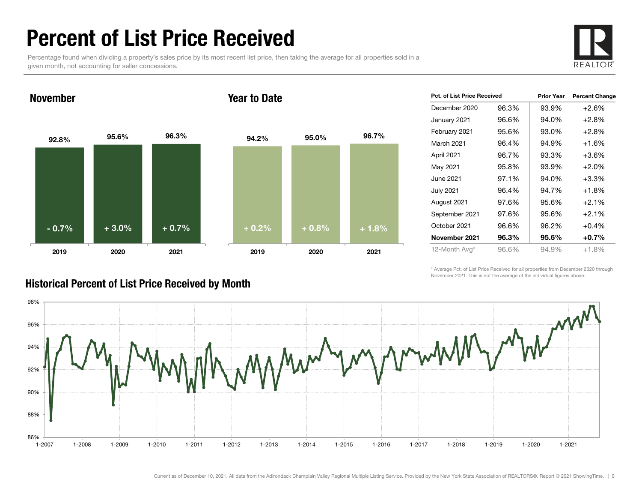## Percent of List Price Received

Percentage found when dividing a property's sales price by its most recent list price, then taking the average for all properties sold in a given month, not accounting for seller concessions.



November

#### Year to Date



| <b>Pct. of List Price Received</b> |       | <b>Percent Change</b> |
|------------------------------------|-------|-----------------------|
| 96.3%                              | 93.9% | $+2.6%$               |
| 96.6%                              | 94.0% | $+2.8%$               |
| 95.6%                              | 93.0% | $+2.8%$               |
| 96.4%                              | 94.9% | $+1.6%$               |
| 96.7%                              | 93.3% | +3.6%                 |
| 95.8%                              | 93.9% | $+2.0%$               |
| 97.1%                              | 94.0% | $+3.3%$               |
| 96.4%                              | 94.7% | $+1.8\%$              |
| 97.6%                              | 95.6% | $+2.1%$               |
| 97.6%                              | 95.6% | $+2.1%$               |
| 96.6%                              | 96.2% | $+0.4%$               |
| 96.3%                              | 95.6% | $+0.7%$               |
| 96.6%                              | 94.9% | $+1.8%$               |
|                                    |       | <b>Prior Year</b>     |

\* Average Pct. of List Price Received for all properties from December 2020 through November 2021. This is not the average of the individual figures above.



### Historical Percent of List Price Received by Month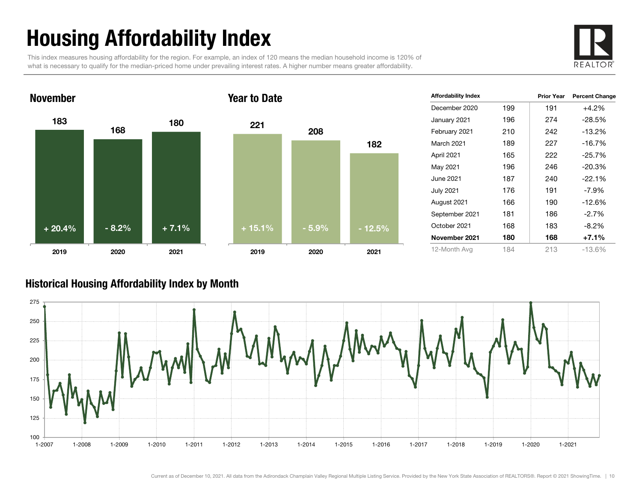# Housing Affordability Index

This index measures housing affordability for the region. For example, an index of 120 means the median household income is 120% of what is necessary to qualify for the median-priced home under prevailing interest rates. A higher number means greater affordability.





| <b>Affordability Index</b> |     | <b>Prior Year</b> | <b>Percent Change</b> |
|----------------------------|-----|-------------------|-----------------------|
| December 2020              | 199 | 191               | $+4.2%$               |
| January 2021               | 196 | 274               | $-28.5%$              |
| February 2021              | 210 | 242               | $-13.2%$              |
| March 2021                 | 189 | 227               | $-16.7%$              |
| April 2021                 | 165 | 222               | $-25.7%$              |
| May 2021                   | 196 | 246               | $-20.3%$              |
| June 2021                  | 187 | 240               | $-22.1%$              |
| <b>July 2021</b>           | 176 | 191               | $-7.9\%$              |
| August 2021                | 166 | 190               | $-12.6%$              |
| September 2021             | 181 | 186               | $-2.7%$               |
| October 2021               | 168 | 183               | $-8.2%$               |
| November 2021              | 180 | 168               | $+7.1%$               |
| 12-Month Avg               | 184 | 213               | $-13.6%$              |

### Historical Housing Affordability Index by Mont h

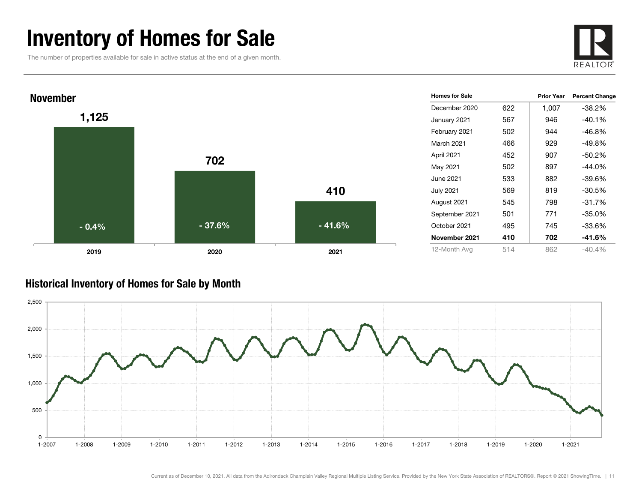## Inventory of Homes for Sale

The number of properties available for sale in active status at the end of a given month.





### Historical Inventory of Homes for Sale by Month

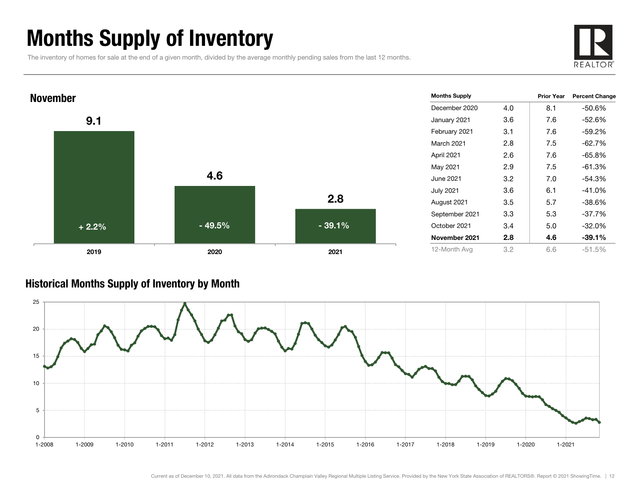## Months Supply of Inventory

The inventory of homes for sale at the end of a given month, divided by the average monthly pending sales from the last 12 months.





### Historical Months Supply of Inventory by Month